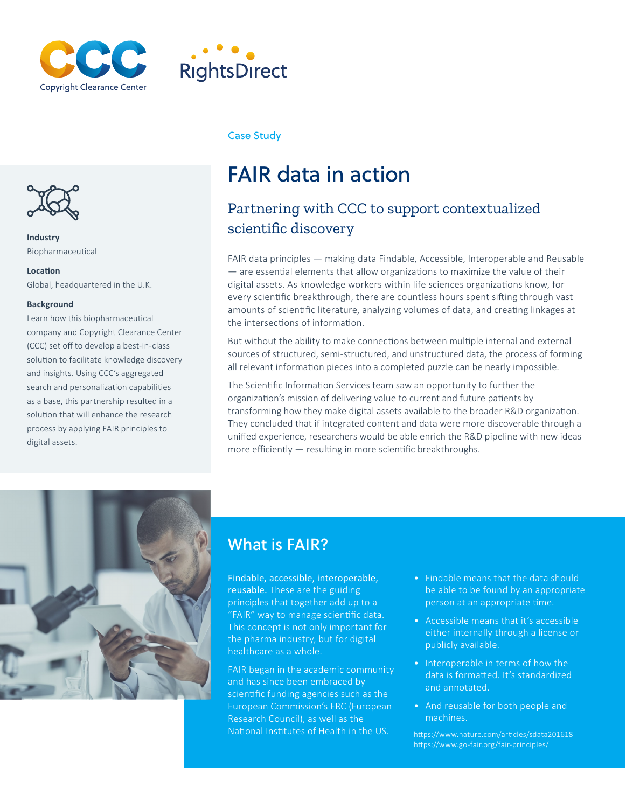



# Case Study



Biopharmaceutical

### **Location**

Global, headquartered in the U.K.

### **Background**

Learn how this biopharmaceutical company and Copyright Clearance Center (CCC) set off to develop a best-in-class solution to facilitate knowledge discovery and insights. Using CCC's aggregated search and personalization capabilities as a base, this partnership resulted in a solution that will enhance the research process by applying FAIR principles to digital assets.

# FAIR data in action

# Partnering with CCC to support contextualized **Industry Industry Industry**

FAIR data principles — making data Findable, Accessible, Interoperable and Reusable — are essential elements that allow organizations to maximize the value of their digital assets. As knowledge workers within life sciences organizations know, for every scientific breakthrough, there are countless hours spent sifting through vast amounts of scientific literature, analyzing volumes of data, and creating linkages at the intersections of information.

But without the ability to make connections between multiple internal and external sources of structured, semi-structured, and unstructured data, the process of forming all relevant information pieces into a completed puzzle can be nearly impossible.

The Scientific Information Services team saw an opportunity to further the organization's mission of delivering value to current and future patients by transforming how they make digital assets available to the broader R&D organization. They concluded that if integrated content and data were more discoverable through a unified experience, researchers would be able enrich the R&D pipeline with new ideas more efficiently — resulting in more scientific breakthroughs.



# What is FAIR?

Findable, accessible, interoperable, reusable. These are the guiding principles that together add up to a "FAIR" way to manage scientific data. This concept is not only important for the pharma industry, but for digital healthcare as a whole.

FAIR began in the academic community and has since been embraced by scientific funding agencies such as the European Commission's ERC (European Research Council), as well as the National Institutes of Health in the US.

- Findable means that the data should be able to be found by an appropriate person at an appropriate time.
- Accessible means that it's accessible either internally through a license or publicly available.
- Interoperable in terms of how the data is formatted. It's standardized and annotated.
- And reusable for both people and machines.

https://www.nature.com/articles/sdata201618 https://www.go-fair.org/fair-principles/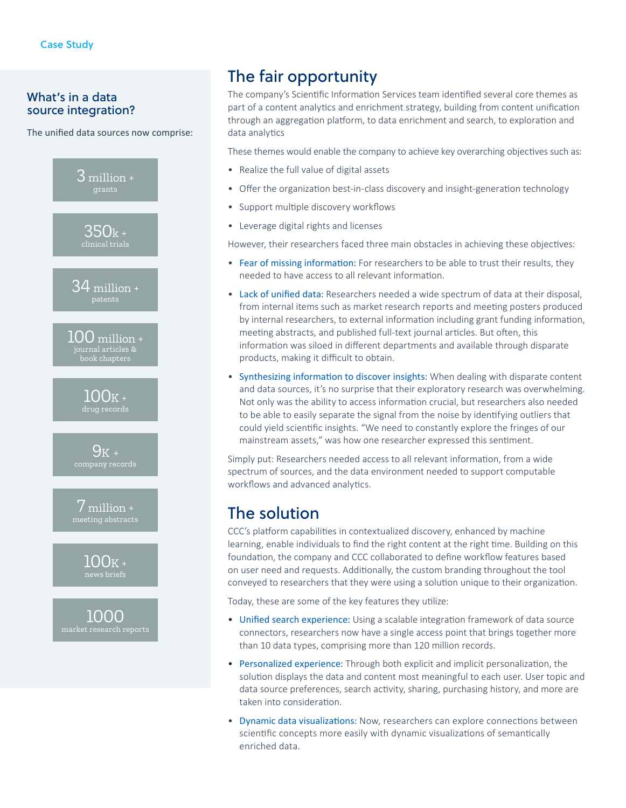# What's in a data source integration?

The unified data sources now comprise:



# The fair opportunity

The company's Scientific Information Services team identified several core themes as part of a content analytics and enrichment strategy, building from content unification through an aggregation platform, to data enrichment and search, to exploration and data analytics

These themes would enable the company to achieve key overarching objectives such as:

- Realize the full value of digital assets
- Offer the organization best-in-class discovery and insight-generation technology
- Support multiple discovery workflows
- Leverage digital rights and licenses

However, their researchers faced three main obstacles in achieving these objectives:

- Fear of missing information: For researchers to be able to trust their results, they needed to have access to all relevant information.
- Lack of unified data: Researchers needed a wide spectrum of data at their disposal, from internal items such as market research reports and meeting posters produced by internal researchers, to external information including grant funding information, meeting abstracts, and published full-text journal articles. But often, this information was siloed in different departments and available through disparate products, making it difficult to obtain.
- Synthesizing information to discover insights: When dealing with disparate content and data sources, it's no surprise that their exploratory research was overwhelming. Not only was the ability to access information crucial, but researchers also needed to be able to easily separate the signal from the noise by identifying outliers that could yield scientific insights. "We need to constantly explore the fringes of our mainstream assets," was how one researcher expressed this sentiment.

Simply put: Researchers needed access to all relevant information, from a wide spectrum of sources, and the data environment needed to support computable workflows and advanced analytics.

# The solution

CCC's platform capabilities in contextualized discovery, enhanced by machine learning, enable individuals to find the right content at the right time. Building on this foundation, the company and CCC collaborated to define workflow features based on user need and requests. Additionally, the custom branding throughout the tool conveyed to researchers that they were using a solution unique to their organization.

Today, these are some of the key features they utilize:

- Unified search experience: Using a scalable integration framework of data source connectors, researchers now have a single access point that brings together more than 10 data types, comprising more than 120 million records.
- Personalized experience: Through both explicit and implicit personalization, the solution displays the data and content most meaningful to each user. User topic and data source preferences, search activity, sharing, purchasing history, and more are taken into consideration.
- Dynamic data visualizations: Now, researchers can explore connections between scientific concepts more easily with dynamic visualizations of semantically enriched data.